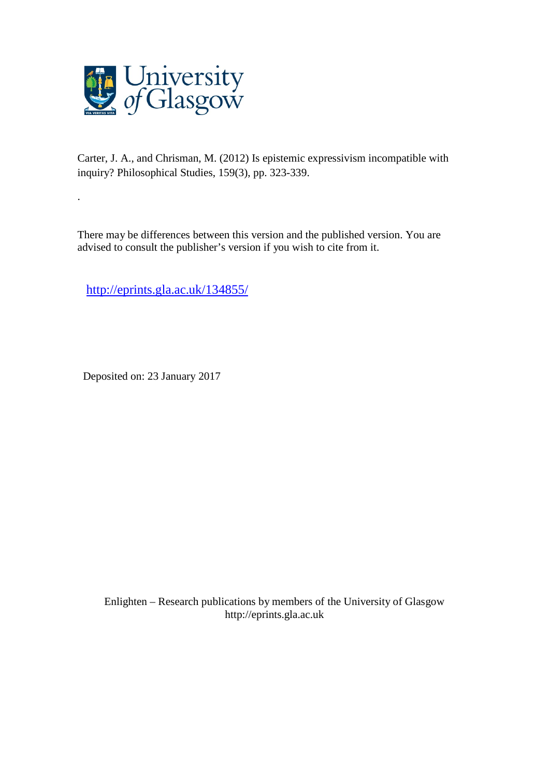

.

Carter, J. A., and Chrisman, M. (2012) Is epistemic expressivism incompatible with inquiry? Philosophical Studies, 159(3), pp. 323-339.

There may be differences between this version and the published version. You are advised to consult the publisher's version if you wish to cite from it.

<http://eprints.gla.ac.uk/134855/>

Deposited on: 23 January 2017

Enlighten – Research publications by members of the University of Glasgo[w](http://eprints.gla.ac.uk/) [http://eprints.gla.ac.uk](http://eprints.gla.ac.uk/)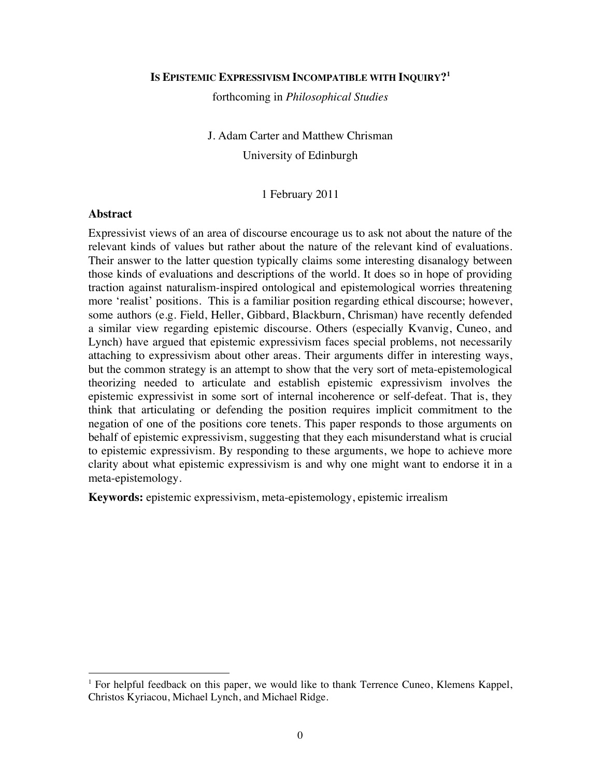# **IS EPISTEMIC EXPRESSIVISM INCOMPATIBLE WITH INQUIRY?1**

forthcoming in *Philosophical Studies*

J. Adam Carter and Matthew Chrisman University of Edinburgh

1 February 2011

#### **Abstract**

Expressivist views of an area of discourse encourage us to ask not about the nature of the relevant kinds of values but rather about the nature of the relevant kind of evaluations. Their answer to the latter question typically claims some interesting disanalogy between those kinds of evaluations and descriptions of the world. It does so in hope of providing traction against naturalism-inspired ontological and epistemological worries threatening more 'realist' positions. This is a familiar position regarding ethical discourse; however, some authors (e.g. Field, Heller, Gibbard, Blackburn, Chrisman) have recently defended a similar view regarding epistemic discourse. Others (especially Kvanvig, Cuneo, and Lynch) have argued that epistemic expressivism faces special problems, not necessarily attaching to expressivism about other areas. Their arguments differ in interesting ways, but the common strategy is an attempt to show that the very sort of meta-epistemological theorizing needed to articulate and establish epistemic expressivism involves the epistemic expressivist in some sort of internal incoherence or self-defeat. That is, they think that articulating or defending the position requires implicit commitment to the negation of one of the positions core tenets. This paper responds to those arguments on behalf of epistemic expressivism, suggesting that they each misunderstand what is crucial to epistemic expressivism. By responding to these arguments, we hope to achieve more clarity about what epistemic expressivism is and why one might want to endorse it in a meta-epistemology.

**Keywords:** epistemic expressivism, meta-epistemology, epistemic irrealism

<sup>|&</sup>lt;br>|<br>|  $<sup>1</sup>$  For helpful feedback on this paper, we would like to thank Terrence Cuneo, Klemens Kappel,</sup> Christos Kyriacou, Michael Lynch, and Michael Ridge.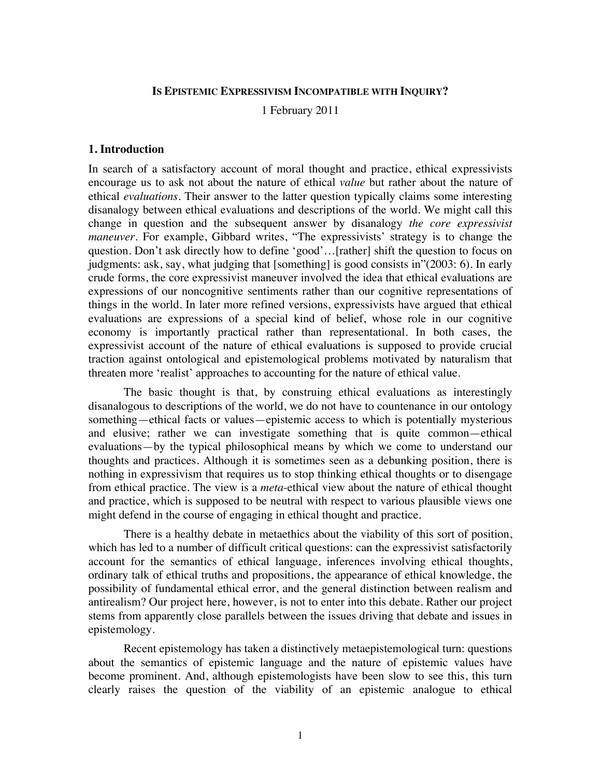#### **IS EPISTEMIC EXPRESSIVISM INCOMPATIBLE WITH INQUIRY?**

1 February 2011

#### **1. Introduction**

In search of a satisfactory account of moral thought and practice, ethical expressivists encourage us to ask not about the nature of ethical *value* but rather about the nature of ethical *evaluations*. Their answer to the latter question typically claims some interesting disanalogy between ethical evaluations and descriptions of the world. We might call this change in question and the subsequent answer by disanalogy *the core expressivist maneuver*. For example, Gibbard writes, "The expressivists' strategy is to change the question. Don't ask directly how to define 'good'…[rather] shift the question to focus on judgments: ask, say, what judging that [something] is good consists in"(2003: 6). In early crude forms, the core expressivist maneuver involved the idea that ethical evaluations are expressions of our noncognitive sentiments rather than our cognitive representations of things in the world. In later more refined versions, expressivists have argued that ethical evaluations are expressions of a special kind of belief, whose role in our cognitive economy is importantly practical rather than representational. In both cases, the expressivist account of the nature of ethical evaluations is supposed to provide crucial traction against ontological and epistemological problems motivated by naturalism that threaten more 'realist' approaches to accounting for the nature of ethical value.

The basic thought is that, by construing ethical evaluations as interestingly disanalogous to descriptions of the world, we do not have to countenance in our ontology something—ethical facts or values—epistemic access to which is potentially mysterious and elusive; rather we can investigate something that is quite common—ethical evaluations—by the typical philosophical means by which we come to understand our thoughts and practices. Although it is sometimes seen as a debunking position, there is nothing in expressivism that requires us to stop thinking ethical thoughts or to disengage from ethical practice. The view is a *meta*-ethical view about the nature of ethical thought and practice, which is supposed to be neutral with respect to various plausible views one might defend in the course of engaging in ethical thought and practice.

There is a healthy debate in metaethics about the viability of this sort of position, which has led to a number of difficult critical questions: can the expressivist satisfactorily account for the semantics of ethical language, inferences involving ethical thoughts, ordinary talk of ethical truths and propositions, the appearance of ethical knowledge, the possibility of fundamental ethical error, and the general distinction between realism and antirealism? Our project here, however, is not to enter into this debate. Rather our project stems from apparently close parallels between the issues driving that debate and issues in epistemology.

Recent epistemology has taken a distinctively metaepistemological turn: questions about the semantics of epistemic language and the nature of epistemic values have become prominent. And, although epistemologists have been slow to see this, this turn clearly raises the question of the viability of an epistemic analogue to ethical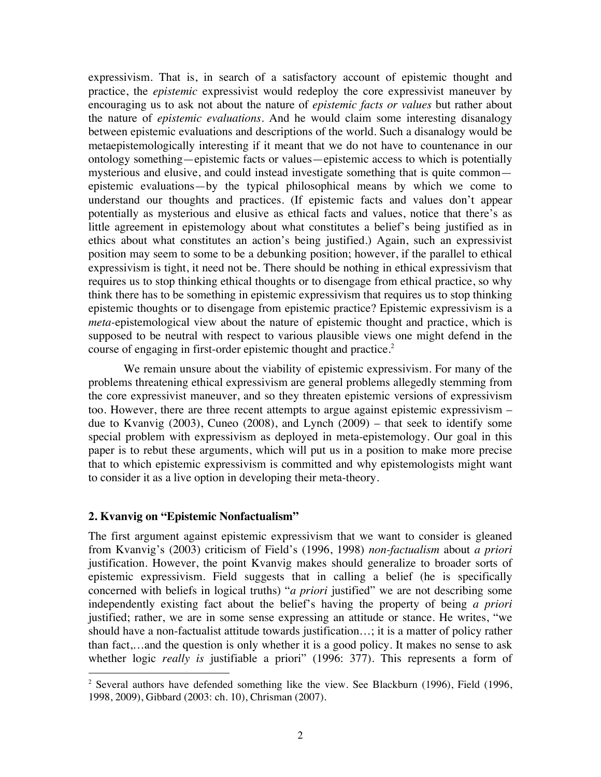expressivism. That is, in search of a satisfactory account of epistemic thought and practice, the *epistemic* expressivist would redeploy the core expressivist maneuver by encouraging us to ask not about the nature of *epistemic facts or values* but rather about the nature of *epistemic evaluations*. And he would claim some interesting disanalogy between epistemic evaluations and descriptions of the world. Such a disanalogy would be metaepistemologically interesting if it meant that we do not have to countenance in our ontology something—epistemic facts or values—epistemic access to which is potentially mysterious and elusive, and could instead investigate something that is quite common epistemic evaluations—by the typical philosophical means by which we come to understand our thoughts and practices. (If epistemic facts and values don't appear potentially as mysterious and elusive as ethical facts and values, notice that there's as little agreement in epistemology about what constitutes a belief's being justified as in ethics about what constitutes an action's being justified.) Again, such an expressivist position may seem to some to be a debunking position; however, if the parallel to ethical expressivism is tight, it need not be. There should be nothing in ethical expressivism that requires us to stop thinking ethical thoughts or to disengage from ethical practice, so why think there has to be something in epistemic expressivism that requires us to stop thinking epistemic thoughts or to disengage from epistemic practice? Epistemic expressivism is a *meta-*epistemological view about the nature of epistemic thought and practice, which is supposed to be neutral with respect to various plausible views one might defend in the course of engaging in first-order epistemic thought and practice.<sup>2</sup>

We remain unsure about the viability of epistemic expressivism. For many of the problems threatening ethical expressivism are general problems allegedly stemming from the core expressivist maneuver, and so they threaten epistemic versions of expressivism too. However, there are three recent attempts to argue against epistemic expressivism – due to Kvanvig (2003), Cuneo (2008), and Lynch (2009) – that seek to identify some special problem with expressivism as deployed in meta-epistemology. Our goal in this paper is to rebut these arguments, which will put us in a position to make more precise that to which epistemic expressivism is committed and why epistemologists might want to consider it as a live option in developing their meta-theory.

#### **2. Kvanvig on "Epistemic Nonfactualism"**

The first argument against epistemic expressivism that we want to consider is gleaned from Kvanvig's (2003) criticism of Field's (1996, 1998) *non-factualism* about *a priori* justification. However, the point Kvanvig makes should generalize to broader sorts of epistemic expressivism. Field suggests that in calling a belief (he is specifically concerned with beliefs in logical truths) "*a priori* justified" we are not describing some independently existing fact about the belief's having the property of being *a priori* justified; rather, we are in some sense expressing an attitude or stance. He writes, "we should have a non-factualist attitude towards justification…; it is a matter of policy rather than fact,…and the question is only whether it is a good policy. It makes no sense to ask whether logic *really is* justifiable a priori" (1996: 377). This represents a form of

 $\frac{1}{2}$ <sup>2</sup> Several authors have defended something like the view. See Blackburn (1996), Field (1996, 1998, 2009), Gibbard (2003: ch. 10), Chrisman (2007).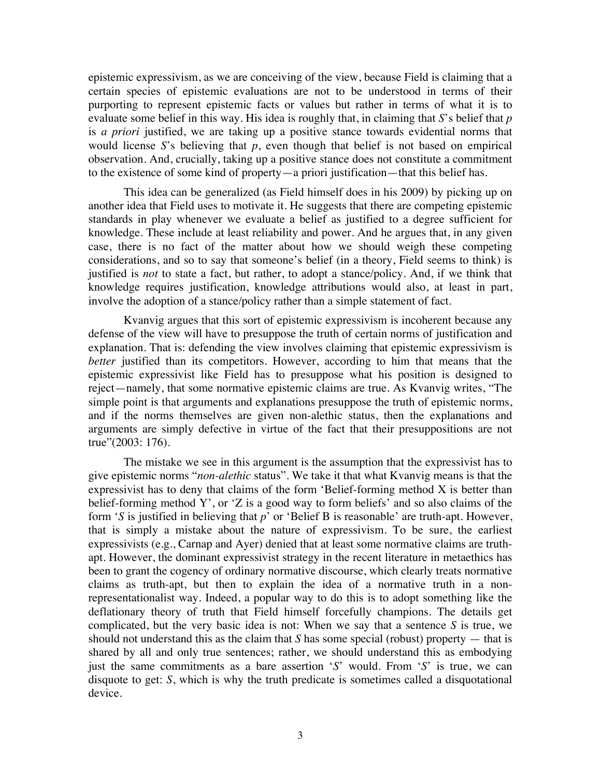epistemic expressivism, as we are conceiving of the view, because Field is claiming that a certain species of epistemic evaluations are not to be understood in terms of their purporting to represent epistemic facts or values but rather in terms of what it is to evaluate some belief in this way. His idea is roughly that, in claiming that *S*'s belief that *p* is *a priori* justified, we are taking up a positive stance towards evidential norms that would license *S*'s believing that *p*, even though that belief is not based on empirical observation. And, crucially, taking up a positive stance does not constitute a commitment to the existence of some kind of property—a priori justification—that this belief has.

This idea can be generalized (as Field himself does in his 2009) by picking up on another idea that Field uses to motivate it. He suggests that there are competing epistemic standards in play whenever we evaluate a belief as justified to a degree sufficient for knowledge. These include at least reliability and power. And he argues that, in any given case, there is no fact of the matter about how we should weigh these competing considerations, and so to say that someone's belief (in a theory, Field seems to think) is justified is *not* to state a fact, but rather, to adopt a stance/policy. And, if we think that knowledge requires justification, knowledge attributions would also, at least in part, involve the adoption of a stance/policy rather than a simple statement of fact.

Kvanvig argues that this sort of epistemic expressivism is incoherent because any defense of the view will have to presuppose the truth of certain norms of justification and explanation. That is: defending the view involves claiming that epistemic expressivism is *better* justified than its competitors. However, according to him that means that the epistemic expressivist like Field has to presuppose what his position is designed to reject—namely, that some normative epistemic claims are true. As Kvanvig writes, "The simple point is that arguments and explanations presuppose the truth of epistemic norms, and if the norms themselves are given non-alethic status, then the explanations and arguments are simply defective in virtue of the fact that their presuppositions are not true"(2003: 176).

The mistake we see in this argument is the assumption that the expressivist has to give epistemic norms "*non-alethic* status". We take it that what Kvanvig means is that the expressivist has to deny that claims of the form 'Belief-forming method X is better than belief-forming method Y', or 'Z is a good way to form beliefs' and so also claims of the form '*S* is justified in believing that *p*' or 'Belief B is reasonable' are truth-apt. However, that is simply a mistake about the nature of expressivism. To be sure, the earliest expressivists (e.g., Carnap and Ayer) denied that at least some normative claims are truthapt. However, the dominant expressivist strategy in the recent literature in metaethics has been to grant the cogency of ordinary normative discourse, which clearly treats normative claims as truth-apt, but then to explain the idea of a normative truth in a nonrepresentationalist way. Indeed, a popular way to do this is to adopt something like the deflationary theory of truth that Field himself forcefully champions. The details get complicated, but the very basic idea is not: When we say that a sentence *S* is true, we should not understand this as the claim that *S* has some special (robust) property — that is shared by all and only true sentences; rather, we should understand this as embodying just the same commitments as a bare assertion '*S*' would. From '*S*' is true, we can disquote to get: *S*, which is why the truth predicate is sometimes called a disquotational device.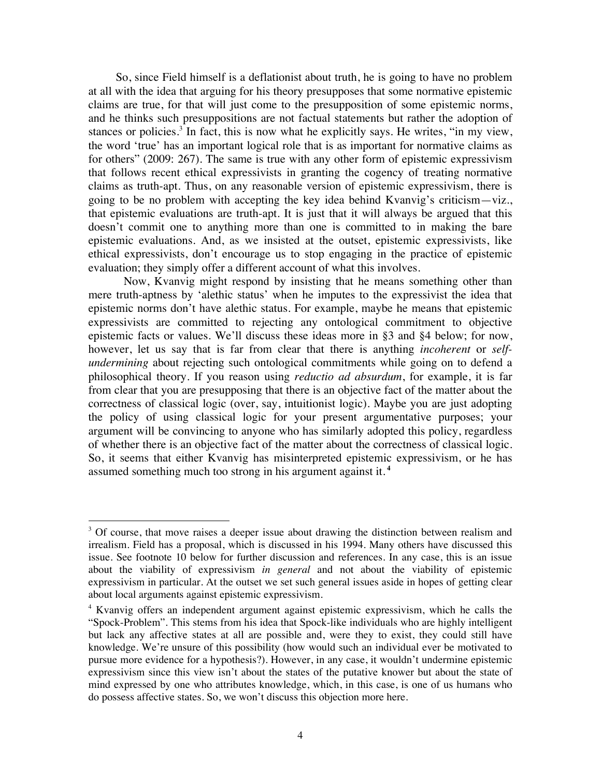So, since Field himself is a deflationist about truth, he is going to have no problem at all with the idea that arguing for his theory presupposes that some normative epistemic claims are true, for that will just come to the presupposition of some epistemic norms, and he thinks such presuppositions are not factual statements but rather the adoption of stances or policies.<sup>3</sup> In fact, this is now what he explicitly says. He writes, "in my view, the word 'true' has an important logical role that is as important for normative claims as for others" (2009: 267). The same is true with any other form of epistemic expressivism that follows recent ethical expressivists in granting the cogency of treating normative claims as truth-apt. Thus, on any reasonable version of epistemic expressivism, there is going to be no problem with accepting the key idea behind Kvanvig's criticism—viz., that epistemic evaluations are truth-apt. It is just that it will always be argued that this doesn't commit one to anything more than one is committed to in making the bare epistemic evaluations. And, as we insisted at the outset, epistemic expressivists, like ethical expressivists, don't encourage us to stop engaging in the practice of epistemic evaluation; they simply offer a different account of what this involves.

Now, Kvanvig might respond by insisting that he means something other than mere truth-aptness by 'alethic status' when he imputes to the expressivist the idea that epistemic norms don't have alethic status. For example, maybe he means that epistemic expressivists are committed to rejecting any ontological commitment to objective epistemic facts or values. We'll discuss these ideas more in §3 and §4 below; for now, however, let us say that is far from clear that there is anything *incoherent* or *selfundermining* about rejecting such ontological commitments while going on to defend a philosophical theory. If you reason using *reductio ad absurdum*, for example, it is far from clear that you are presupposing that there is an objective fact of the matter about the correctness of classical logic (over, say, intuitionist logic). Maybe you are just adopting the policy of using classical logic for your present argumentative purposes; your argument will be convincing to anyone who has similarly adopted this policy, regardless of whether there is an objective fact of the matter about the correctness of classical logic. So, it seems that either Kvanvig has misinterpreted epistemic expressivism, or he has assumed something much too strong in his argument against it. **<sup>4</sup>**

<sup>&</sup>lt;sup>2</sup><br>3 <sup>3</sup> Of course, that move raises a deeper issue about drawing the distinction between realism and irrealism. Field has a proposal, which is discussed in his 1994. Many others have discussed this issue. See footnote 10 below for further discussion and references. In any case, this is an issue about the viability of expressivism *in general* and not about the viability of epistemic expressivism in particular. At the outset we set such general issues aside in hopes of getting clear about local arguments against epistemic expressivism.

<sup>4</sup> Kvanvig offers an independent argument against epistemic expressivism, which he calls the "Spock-Problem". This stems from his idea that Spock-like individuals who are highly intelligent but lack any affective states at all are possible and, were they to exist, they could still have knowledge. We're unsure of this possibility (how would such an individual ever be motivated to pursue more evidence for a hypothesis?). However, in any case, it wouldn't undermine epistemic expressivism since this view isn't about the states of the putative knower but about the state of mind expressed by one who attributes knowledge, which, in this case, is one of us humans who do possess affective states. So, we won't discuss this objection more here.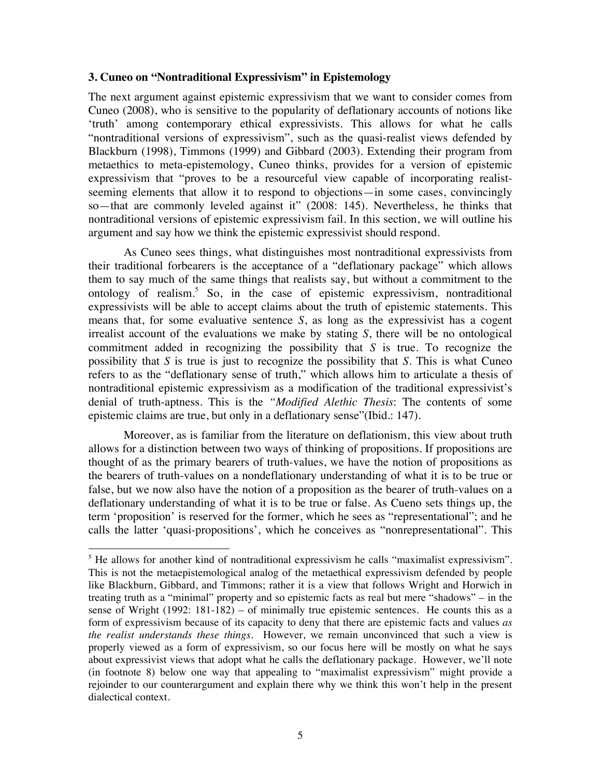# **3. Cuneo on "Nontraditional Expressivism" in Epistemology**

The next argument against epistemic expressivism that we want to consider comes from Cuneo (2008), who is sensitive to the popularity of deflationary accounts of notions like 'truth' among contemporary ethical expressivists. This allows for what he calls "nontraditional versions of expressivism", such as the quasi-realist views defended by Blackburn (1998), Timmons (1999) and Gibbard (2003). Extending their program from metaethics to meta-epistemology, Cuneo thinks, provides for a version of epistemic expressivism that "proves to be a resourceful view capable of incorporating realistseeming elements that allow it to respond to objections—in some cases, convincingly so—that are commonly leveled against it" (2008: 145). Nevertheless, he thinks that nontraditional versions of epistemic expressivism fail. In this section, we will outline his argument and say how we think the epistemic expressivist should respond.

As Cuneo sees things, what distinguishes most nontraditional expressivists from their traditional forbearers is the acceptance of a "deflationary package" which allows them to say much of the same things that realists say, but without a commitment to the ontology of realism.<sup>5</sup> So, in the case of epistemic expressivism, nontraditional expressivists will be able to accept claims about the truth of epistemic statements. This means that, for some evaluative sentence *S*, as long as the expressivist has a cogent irrealist account of the evaluations we make by stating *S*, there will be no ontological commitment added in recognizing the possibility that *S* is true. To recognize the possibility that *S* is true is just to recognize the possibility that *S*. This is what Cuneo refers to as the "deflationary sense of truth," which allows him to articulate a thesis of nontraditional epistemic expressivism as a modification of the traditional expressivist's denial of truth-aptness. This is the *"Modified Alethic Thesis*: The contents of some epistemic claims are true, but only in a deflationary sense"(Ibid.: 147).

Moreover, as is familiar from the literature on deflationism, this view about truth allows for a distinction between two ways of thinking of propositions. If propositions are thought of as the primary bearers of truth-values, we have the notion of propositions as the bearers of truth-values on a nondeflationary understanding of what it is to be true or false, but we now also have the notion of a proposition as the bearer of truth-values on a deflationary understanding of what it is to be true or false. As Cueno sets things up, the term 'proposition' is reserved for the former, which he sees as "representational"; and he calls the latter 'quasi-propositions', which he conceives as "nonrepresentational". This

 <sup>5</sup>  $<sup>5</sup>$  He allows for another kind of nontraditional expressivism he calls "maximalist expressivism".</sup> This is not the metaepistemological analog of the metaethical expressivism defended by people like Blackburn, Gibbard, and Timmons; rather it is a view that follows Wright and Horwich in treating truth as a "minimal" property and so epistemic facts as real but mere "shadows" – in the sense of Wright (1992: 181-182) – of minimally true epistemic sentences. He counts this as a form of expressivism because of its capacity to deny that there are epistemic facts and values *as the realist understands these things*. However, we remain unconvinced that such a view is properly viewed as a form of expressivism, so our focus here will be mostly on what he says about expressivist views that adopt what he calls the deflationary package. However, we'll note (in footnote 8) below one way that appealing to "maximalist expressivism" might provide a rejoinder to our counterargument and explain there why we think this won't help in the present dialectical context.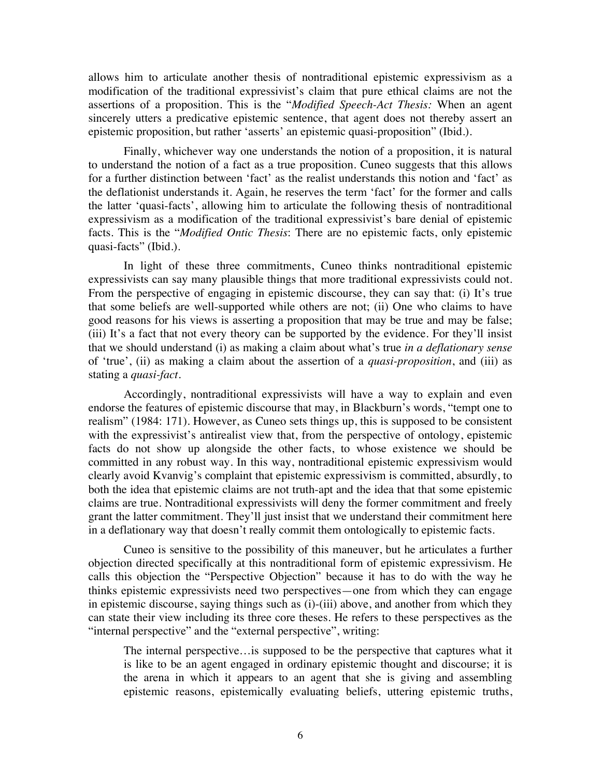allows him to articulate another thesis of nontraditional epistemic expressivism as a modification of the traditional expressivist's claim that pure ethical claims are not the assertions of a proposition. This is the "*Modified Speech-Act Thesis:* When an agent sincerely utters a predicative epistemic sentence, that agent does not thereby assert an epistemic proposition, but rather 'asserts' an epistemic quasi-proposition" (Ibid.).

Finally, whichever way one understands the notion of a proposition, it is natural to understand the notion of a fact as a true proposition. Cuneo suggests that this allows for a further distinction between 'fact' as the realist understands this notion and 'fact' as the deflationist understands it. Again, he reserves the term 'fact' for the former and calls the latter 'quasi-facts', allowing him to articulate the following thesis of nontraditional expressivism as a modification of the traditional expressivist's bare denial of epistemic facts. This is the "*Modified Ontic Thesis*: There are no epistemic facts, only epistemic quasi-facts" (Ibid.).

In light of these three commitments, Cuneo thinks nontraditional epistemic expressivists can say many plausible things that more traditional expressivists could not. From the perspective of engaging in epistemic discourse, they can say that: (i) It's true that some beliefs are well-supported while others are not; (ii) One who claims to have good reasons for his views is asserting a proposition that may be true and may be false; (iii) It's a fact that not every theory can be supported by the evidence. For they'll insist that we should understand (i) as making a claim about what's true *in a deflationary sense* of 'true', (ii) as making a claim about the assertion of a *quasi-proposition*, and (iii) as stating a *quasi-fact*.

Accordingly, nontraditional expressivists will have a way to explain and even endorse the features of epistemic discourse that may, in Blackburn's words, "tempt one to realism" (1984: 171). However, as Cuneo sets things up, this is supposed to be consistent with the expressivist's antirealist view that, from the perspective of ontology, epistemic facts do not show up alongside the other facts, to whose existence we should be committed in any robust way. In this way, nontraditional epistemic expressivism would clearly avoid Kvanvig's complaint that epistemic expressivism is committed, absurdly, to both the idea that epistemic claims are not truth-apt and the idea that that some epistemic claims are true. Nontraditional expressivists will deny the former commitment and freely grant the latter commitment. They'll just insist that we understand their commitment here in a deflationary way that doesn't really commit them ontologically to epistemic facts.

Cuneo is sensitive to the possibility of this maneuver, but he articulates a further objection directed specifically at this nontraditional form of epistemic expressivism. He calls this objection the "Perspective Objection" because it has to do with the way he thinks epistemic expressivists need two perspectives—one from which they can engage in epistemic discourse, saying things such as (i)-(iii) above, and another from which they can state their view including its three core theses. He refers to these perspectives as the "internal perspective" and the "external perspective", writing:

The internal perspective…is supposed to be the perspective that captures what it is like to be an agent engaged in ordinary epistemic thought and discourse; it is the arena in which it appears to an agent that she is giving and assembling epistemic reasons, epistemically evaluating beliefs, uttering epistemic truths,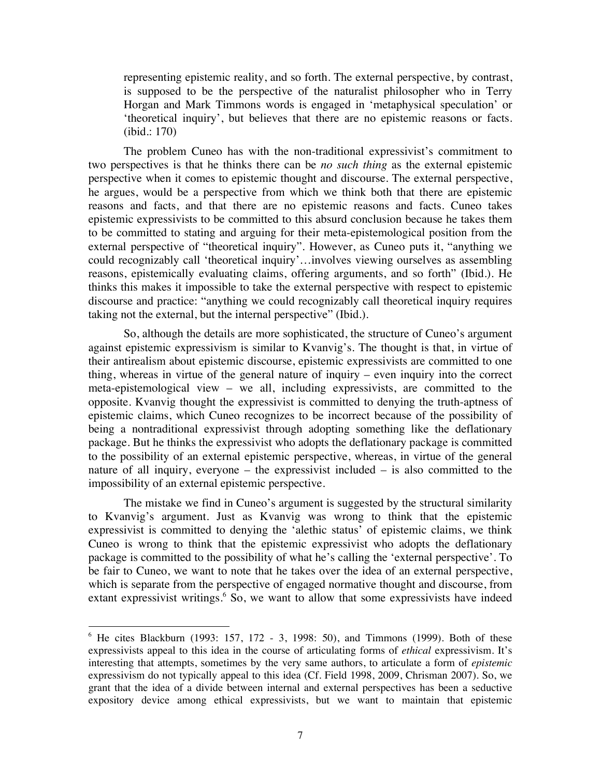representing epistemic reality, and so forth. The external perspective, by contrast, is supposed to be the perspective of the naturalist philosopher who in Terry Horgan and Mark Timmons words is engaged in 'metaphysical speculation' or 'theoretical inquiry', but believes that there are no epistemic reasons or facts. (ibid.: 170)

The problem Cuneo has with the non-traditional expressivist's commitment to two perspectives is that he thinks there can be *no such thing* as the external epistemic perspective when it comes to epistemic thought and discourse. The external perspective, he argues, would be a perspective from which we think both that there are epistemic reasons and facts, and that there are no epistemic reasons and facts. Cuneo takes epistemic expressivists to be committed to this absurd conclusion because he takes them to be committed to stating and arguing for their meta-epistemological position from the external perspective of "theoretical inquiry". However, as Cuneo puts it, "anything we could recognizably call 'theoretical inquiry'…involves viewing ourselves as assembling reasons, epistemically evaluating claims, offering arguments, and so forth" (Ibid.). He thinks this makes it impossible to take the external perspective with respect to epistemic discourse and practice: "anything we could recognizably call theoretical inquiry requires taking not the external, but the internal perspective" (Ibid.).

So, although the details are more sophisticated, the structure of Cuneo's argument against epistemic expressivism is similar to Kvanvig's. The thought is that, in virtue of their antirealism about epistemic discourse, epistemic expressivists are committed to one thing, whereas in virtue of the general nature of inquiry – even inquiry into the correct meta-epistemological view – we all, including expressivists, are committed to the opposite. Kvanvig thought the expressivist is committed to denying the truth-aptness of epistemic claims, which Cuneo recognizes to be incorrect because of the possibility of being a nontraditional expressivist through adopting something like the deflationary package. But he thinks the expressivist who adopts the deflationary package is committed to the possibility of an external epistemic perspective, whereas, in virtue of the general nature of all inquiry, everyone – the expressivist included – is also committed to the impossibility of an external epistemic perspective.

The mistake we find in Cuneo's argument is suggested by the structural similarity to Kvanvig's argument. Just as Kvanvig was wrong to think that the epistemic expressivist is committed to denying the 'alethic status' of epistemic claims, we think Cuneo is wrong to think that the epistemic expressivist who adopts the deflationary package is committed to the possibility of what he's calling the 'external perspective'. To be fair to Cuneo, we want to note that he takes over the idea of an external perspective, which is separate from the perspective of engaged normative thought and discourse, from extant expressivist writings.<sup>6</sup> So, we want to allow that some expressivists have indeed

 <sup>6</sup>  $6$  He cites Blackburn (1993: 157, 172 - 3, 1998: 50), and Timmons (1999). Both of these expressivists appeal to this idea in the course of articulating forms of *ethical* expressivism. It's interesting that attempts, sometimes by the very same authors, to articulate a form of *epistemic* expressivism do not typically appeal to this idea (Cf. Field 1998, 2009, Chrisman 2007). So, we grant that the idea of a divide between internal and external perspectives has been a seductive expository device among ethical expressivists, but we want to maintain that epistemic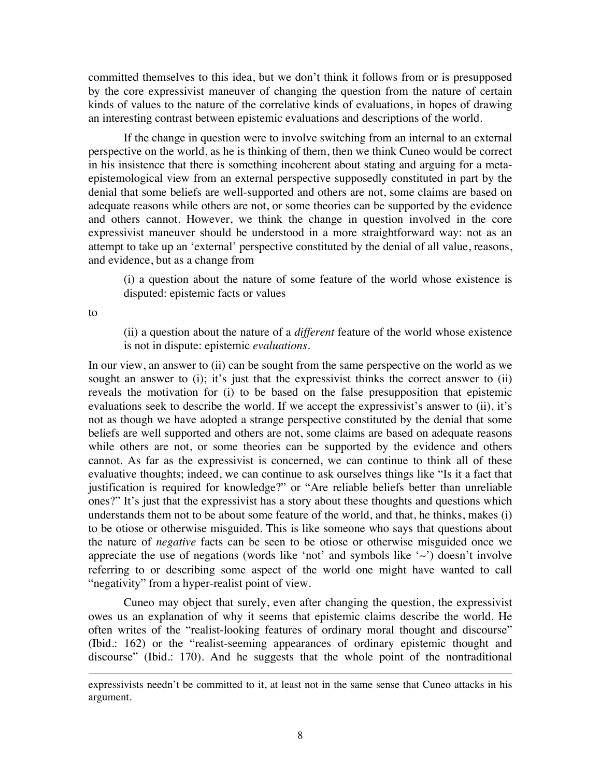committed themselves to this idea, but we don't think it follows from or is presupposed by the core expressivist maneuver of changing the question from the nature of certain kinds of values to the nature of the correlative kinds of evaluations, in hopes of drawing an interesting contrast between epistemic evaluations and descriptions of the world.

If the change in question were to involve switching from an internal to an external perspective on the world, as he is thinking of them, then we think Cuneo would be correct in his insistence that there is something incoherent about stating and arguing for a metaepistemological view from an external perspective supposedly constituted in part by the denial that some beliefs are well-supported and others are not, some claims are based on adequate reasons while others are not, or some theories can be supported by the evidence and others cannot. However, we think the change in question involved in the core expressivist maneuver should be understood in a more straightforward way: not as an attempt to take up an 'external' perspective constituted by the denial of all value, reasons, and evidence, but as a change from

(i) a question about the nature of some feature of the world whose existence is disputed: epistemic facts or values

to

 $\ddot{\phantom{a}}$ 

(ii) a question about the nature of a *different* feature of the world whose existence is not in dispute: epistemic *evaluations*.

In our view, an answer to (ii) can be sought from the same perspective on the world as we sought an answer to (i); it's just that the expressivist thinks the correct answer to (ii) reveals the motivation for (i) to be based on the false presupposition that epistemic evaluations seek to describe the world. If we accept the expressivist's answer to (ii), it's not as though we have adopted a strange perspective constituted by the denial that some beliefs are well supported and others are not, some claims are based on adequate reasons while others are not, or some theories can be supported by the evidence and others cannot. As far as the expressivist is concerned, we can continue to think all of these evaluative thoughts; indeed, we can continue to ask ourselves things like "Is it a fact that justification is required for knowledge?" or "Are reliable beliefs better than unreliable ones?" It's just that the expressivist has a story about these thoughts and questions which understands them not to be about some feature of the world, and that, he thinks, makes (i) to be otiose or otherwise misguided. This is like someone who says that questions about the nature of *negative* facts can be seen to be otiose or otherwise misguided once we appreciate the use of negations (words like 'not' and symbols like '∼') doesn't involve referring to or describing some aspect of the world one might have wanted to call "negativity" from a hyper-realist point of view.

Cuneo may object that surely, even after changing the question, the expressivist owes us an explanation of why it seems that epistemic claims describe the world. He often writes of the "realist-looking features of ordinary moral thought and discourse" (Ibid.: 162) or the "realist-seeming appearances of ordinary epistemic thought and discourse" (Ibid.: 170). And he suggests that the whole point of the nontraditional

expressivists needn't be committed to it, at least not in the same sense that Cuneo attacks in his argument.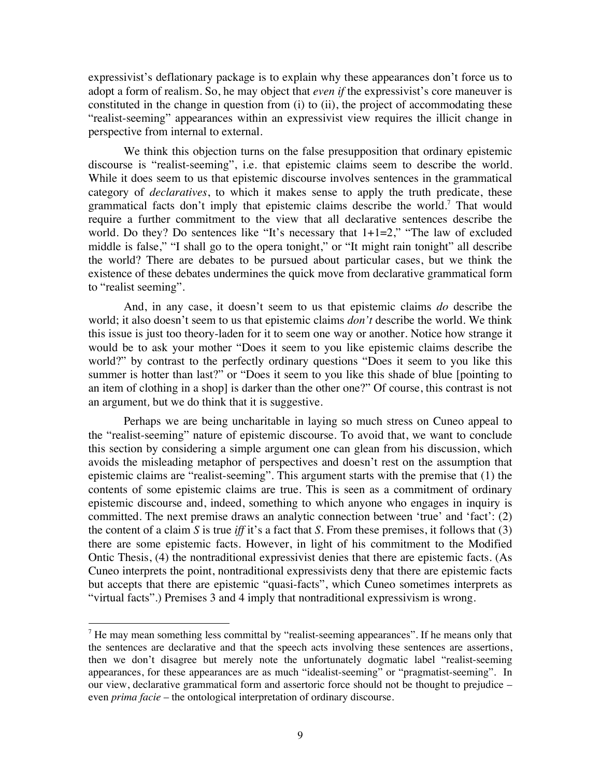expressivist's deflationary package is to explain why these appearances don't force us to adopt a form of realism. So, he may object that *even if* the expressivist's core maneuver is constituted in the change in question from (i) to (ii), the project of accommodating these "realist-seeming" appearances within an expressivist view requires the illicit change in perspective from internal to external.

We think this objection turns on the false presupposition that ordinary epistemic discourse is "realist-seeming", i.e. that epistemic claims seem to describe the world. While it does seem to us that epistemic discourse involves sentences in the grammatical category of *declaratives*, to which it makes sense to apply the truth predicate, these grammatical facts don't imply that epistemic claims describe the world.<sup>7</sup> That would require a further commitment to the view that all declarative sentences describe the world. Do they? Do sentences like "It's necessary that  $1+1=2$ ," "The law of excluded middle is false," "I shall go to the opera tonight," or "It might rain tonight" all describe the world? There are debates to be pursued about particular cases, but we think the existence of these debates undermines the quick move from declarative grammatical form to "realist seeming".

And, in any case, it doesn't seem to us that epistemic claims *do* describe the world; it also doesn't seem to us that epistemic claims *don't* describe the world. We think this issue is just too theory-laden for it to seem one way or another. Notice how strange it would be to ask your mother "Does it seem to you like epistemic claims describe the world?" by contrast to the perfectly ordinary questions "Does it seem to you like this summer is hotter than last?" or "Does it seem to you like this shade of blue [pointing to an item of clothing in a shop] is darker than the other one?" Of course, this contrast is not an argument*,* but we do think that it is suggestive.

Perhaps we are being uncharitable in laying so much stress on Cuneo appeal to the "realist-seeming" nature of epistemic discourse. To avoid that, we want to conclude this section by considering a simple argument one can glean from his discussion, which avoids the misleading metaphor of perspectives and doesn't rest on the assumption that epistemic claims are "realist-seeming". This argument starts with the premise that (1) the contents of some epistemic claims are true. This is seen as a commitment of ordinary epistemic discourse and, indeed, something to which anyone who engages in inquiry is committed. The next premise draws an analytic connection between 'true' and 'fact': (2) the content of a claim *S* is true *iff* it's a fact that *S*. From these premises, it follows that (3) there are some epistemic facts. However, in light of his commitment to the Modified Ontic Thesis, (4) the nontraditional expressivist denies that there are epistemic facts. (As Cuneo interprets the point, nontraditional expressivists deny that there are epistemic facts but accepts that there are epistemic "quasi-facts", which Cuneo sometimes interprets as "virtual facts".) Premises 3 and 4 imply that nontraditional expressivism is wrong.

<sup>-&</sup>lt;br>7  $\mu$ <sup>7</sup> He may mean something less committal by "realist-seeming appearances". If he means only that the sentences are declarative and that the speech acts involving these sentences are assertions, then we don't disagree but merely note the unfortunately dogmatic label "realist-seeming appearances, for these appearances are as much "idealist-seeming" or "pragmatist-seeming". In our view, declarative grammatical form and assertoric force should not be thought to prejudice – even *prima facie* – the ontological interpretation of ordinary discourse.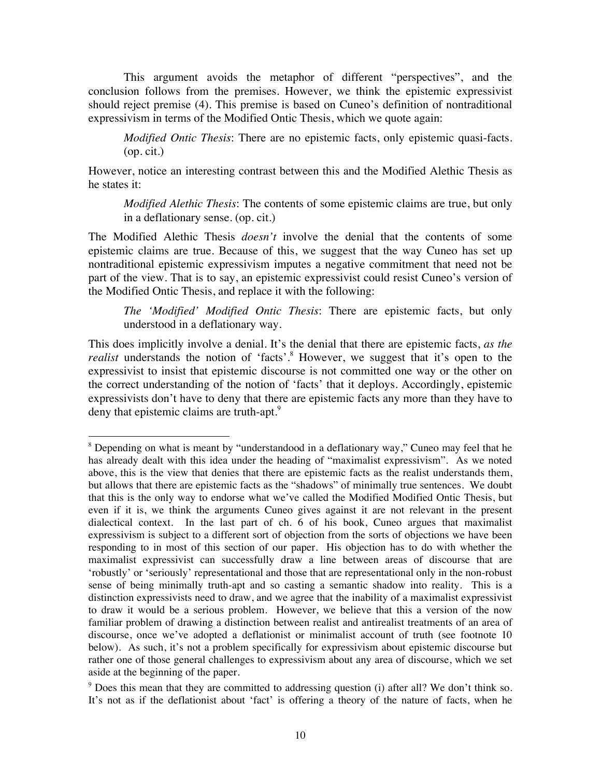This argument avoids the metaphor of different "perspectives", and the conclusion follows from the premises. However, we think the epistemic expressivist should reject premise (4). This premise is based on Cuneo's definition of nontraditional expressivism in terms of the Modified Ontic Thesis, which we quote again:

*Modified Ontic Thesis*: There are no epistemic facts, only epistemic quasi-facts. (op. cit.)

However, notice an interesting contrast between this and the Modified Alethic Thesis as he states it:

*Modified Alethic Thesis*: The contents of some epistemic claims are true, but only in a deflationary sense. (op. cit.)

The Modified Alethic Thesis *doesn't* involve the denial that the contents of some epistemic claims are true. Because of this, we suggest that the way Cuneo has set up nontraditional epistemic expressivism imputes a negative commitment that need not be part of the view. That is to say, an epistemic expressivist could resist Cuneo's version of the Modified Ontic Thesis, and replace it with the following:

*The 'Modified' Modified Ontic Thesis*: There are epistemic facts, but only understood in a deflationary way.

This does implicitly involve a denial. It's the denial that there are epistemic facts, *as the*  realist understands the notion of 'facts'.<sup>8</sup> However, we suggest that it's open to the expressivist to insist that epistemic discourse is not committed one way or the other on the correct understanding of the notion of 'facts' that it deploys. Accordingly, epistemic expressivists don't have to deny that there are epistemic facts any more than they have to deny that epistemic claims are truth-apt.<sup>9</sup>

 <sup>8</sup>  $8$  Depending on what is meant by "understandood in a deflationary way," Cuneo may feel that he has already dealt with this idea under the heading of "maximalist expressivism". As we noted above, this is the view that denies that there are epistemic facts as the realist understands them, but allows that there are epistemic facts as the "shadows" of minimally true sentences. We doubt that this is the only way to endorse what we've called the Modified Modified Ontic Thesis, but even if it is, we think the arguments Cuneo gives against it are not relevant in the present dialectical context. In the last part of ch. 6 of his book, Cuneo argues that maximalist expressivism is subject to a different sort of objection from the sorts of objections we have been responding to in most of this section of our paper. His objection has to do with whether the maximalist expressivist can successfully draw a line between areas of discourse that are 'robustly' or 'seriously' representational and those that are representational only in the non-robust sense of being minimally truth-apt and so casting a semantic shadow into reality. This is a distinction expressivists need to draw, and we agree that the inability of a maximalist expressivist to draw it would be a serious problem. However, we believe that this a version of the now familiar problem of drawing a distinction between realist and antirealist treatments of an area of discourse, once we've adopted a deflationist or minimalist account of truth (see footnote 10 below). As such, it's not a problem specifically for expressivism about epistemic discourse but rather one of those general challenges to expressivism about any area of discourse, which we set aside at the beginning of the paper.

<sup>&</sup>lt;sup>9</sup> Does this mean that they are committed to addressing question (i) after all? We don't think so. It's not as if the deflationist about 'fact' is offering a theory of the nature of facts, when he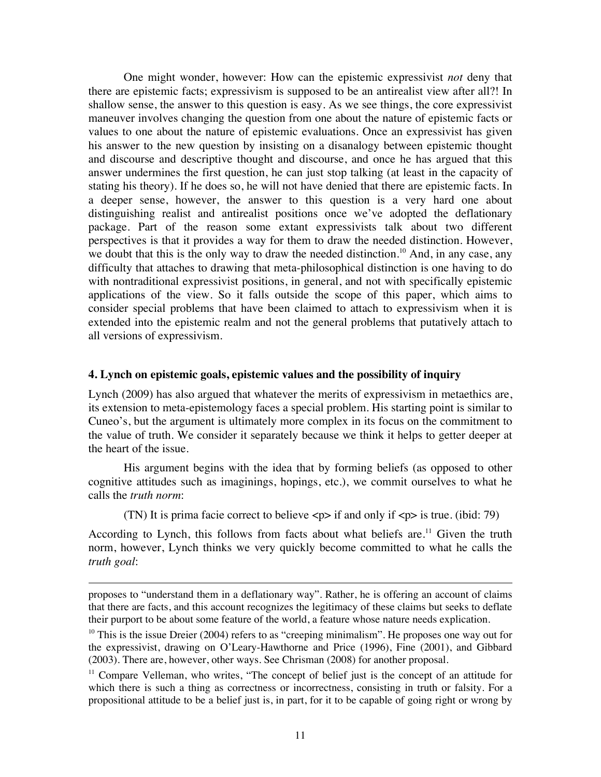One might wonder, however: How can the epistemic expressivist *not* deny that there are epistemic facts; expressivism is supposed to be an antirealist view after all?! In shallow sense, the answer to this question is easy. As we see things, the core expressivist maneuver involves changing the question from one about the nature of epistemic facts or values to one about the nature of epistemic evaluations. Once an expressivist has given his answer to the new question by insisting on a disanalogy between epistemic thought and discourse and descriptive thought and discourse, and once he has argued that this answer undermines the first question, he can just stop talking (at least in the capacity of stating his theory). If he does so, he will not have denied that there are epistemic facts. In a deeper sense, however, the answer to this question is a very hard one about distinguishing realist and antirealist positions once we've adopted the deflationary package. Part of the reason some extant expressivists talk about two different perspectives is that it provides a way for them to draw the needed distinction. However, we doubt that this is the only way to draw the needed distinction.<sup>10</sup> And, in any case, any difficulty that attaches to drawing that meta-philosophical distinction is one having to do with nontraditional expressivist positions, in general, and not with specifically epistemic applications of the view. So it falls outside the scope of this paper, which aims to consider special problems that have been claimed to attach to expressivism when it is extended into the epistemic realm and not the general problems that putatively attach to all versions of expressivism.

### **4. Lynch on epistemic goals, epistemic values and the possibility of inquiry**

Lynch (2009) has also argued that whatever the merits of expressivism in metaethics are, its extension to meta-epistemology faces a special problem. His starting point is similar to Cuneo's, but the argument is ultimately more complex in its focus on the commitment to the value of truth. We consider it separately because we think it helps to getter deeper at the heart of the issue.

His argument begins with the idea that by forming beliefs (as opposed to other cognitive attitudes such as imaginings, hopings, etc.), we commit ourselves to what he calls the *truth norm*:

(TN) It is prima facie correct to believe  $\langle p \rangle$  if and only if  $\langle p \rangle$  is true. (ibid: 79)

According to Lynch, this follows from facts about what beliefs are.<sup>11</sup> Given the truth norm, however, Lynch thinks we very quickly become committed to what he calls the *truth goal*:

 $\overline{a}$ 

proposes to "understand them in a deflationary way". Rather, he is offering an account of claims that there are facts, and this account recognizes the legitimacy of these claims but seeks to deflate their purport to be about some feature of the world, a feature whose nature needs explication.

 $10$  This is the issue Dreier (2004) refers to as "creeping minimalism". He proposes one way out for the expressivist, drawing on O'Leary-Hawthorne and Price (1996), Fine (2001), and Gibbard (2003). There are, however, other ways. See Chrisman (2008) for another proposal.

<sup>&</sup>lt;sup>11</sup> Compare Velleman, who writes, "The concept of belief just is the concept of an attitude for which there is such a thing as correctness or incorrectness, consisting in truth or falsity. For a propositional attitude to be a belief just is, in part, for it to be capable of going right or wrong by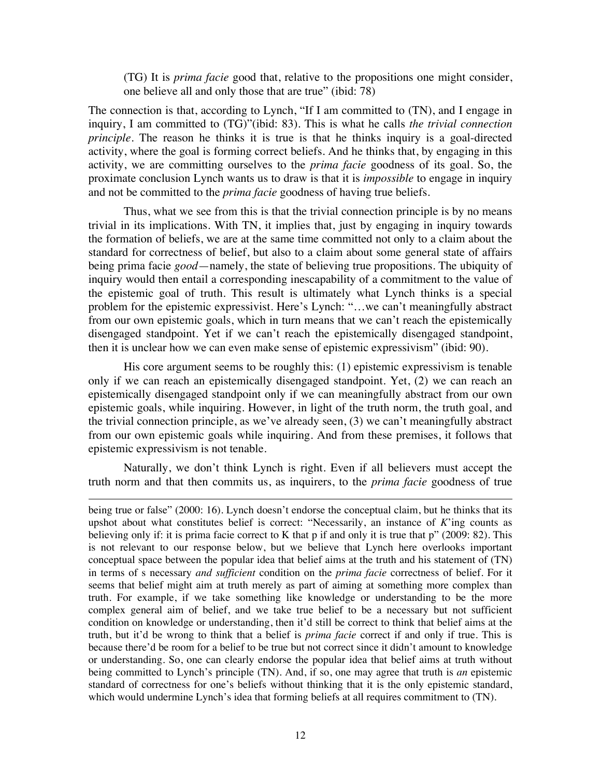(TG) It is *prima facie* good that, relative to the propositions one might consider, one believe all and only those that are true" (ibid: 78)

The connection is that, according to Lynch, "If I am committed to (TN), and I engage in inquiry, I am committed to (TG)"(ibid: 83). This is what he calls *the trivial connection principle*. The reason he thinks it is true is that he thinks inquiry is a goal-directed activity, where the goal is forming correct beliefs. And he thinks that, by engaging in this activity, we are committing ourselves to the *prima facie* goodness of its goal. So, the proximate conclusion Lynch wants us to draw is that it is *impossible* to engage in inquiry and not be committed to the *prima facie* goodness of having true beliefs.

Thus, what we see from this is that the trivial connection principle is by no means trivial in its implications. With TN, it implies that, just by engaging in inquiry towards the formation of beliefs, we are at the same time committed not only to a claim about the standard for correctness of belief, but also to a claim about some general state of affairs being prima facie *good*—namely, the state of believing true propositions. The ubiquity of inquiry would then entail a corresponding inescapability of a commitment to the value of the epistemic goal of truth. This result is ultimately what Lynch thinks is a special problem for the epistemic expressivist. Here's Lynch: "…we can't meaningfully abstract from our own epistemic goals, which in turn means that we can't reach the epistemically disengaged standpoint. Yet if we can't reach the epistemically disengaged standpoint, then it is unclear how we can even make sense of epistemic expressivism" (ibid: 90).

His core argument seems to be roughly this: (1) epistemic expressivism is tenable only if we can reach an epistemically disengaged standpoint. Yet, (2) we can reach an epistemically disengaged standpoint only if we can meaningfully abstract from our own epistemic goals, while inquiring. However, in light of the truth norm, the truth goal, and the trivial connection principle, as we've already seen, (3) we can't meaningfully abstract from our own epistemic goals while inquiring. And from these premises, it follows that epistemic expressivism is not tenable.

Naturally, we don't think Lynch is right. Even if all believers must accept the truth norm and that then commits us, as inquirers, to the *prima facie* goodness of true

 $\overline{a}$ 

being true or false" (2000: 16). Lynch doesn't endorse the conceptual claim, but he thinks that its upshot about what constitutes belief is correct: "Necessarily, an instance of *K*'ing counts as believing only if: it is prima facie correct to K that p if and only it is true that  $p''$  (2009: 82). This is not relevant to our response below, but we believe that Lynch here overlooks important conceptual space between the popular idea that belief aims at the truth and his statement of (TN) in terms of s necessary *and sufficient* condition on the *prima facie* correctness of belief. For it seems that belief might aim at truth merely as part of aiming at something more complex than truth. For example, if we take something like knowledge or understanding to be the more complex general aim of belief, and we take true belief to be a necessary but not sufficient condition on knowledge or understanding, then it'd still be correct to think that belief aims at the truth, but it'd be wrong to think that a belief is *prima facie* correct if and only if true. This is because there'd be room for a belief to be true but not correct since it didn't amount to knowledge or understanding. So, one can clearly endorse the popular idea that belief aims at truth without being committed to Lynch's principle (TN). And, if so, one may agree that truth is *an* epistemic standard of correctness for one's beliefs without thinking that it is the only epistemic standard, which would undermine Lynch's idea that forming beliefs at all requires commitment to (TN).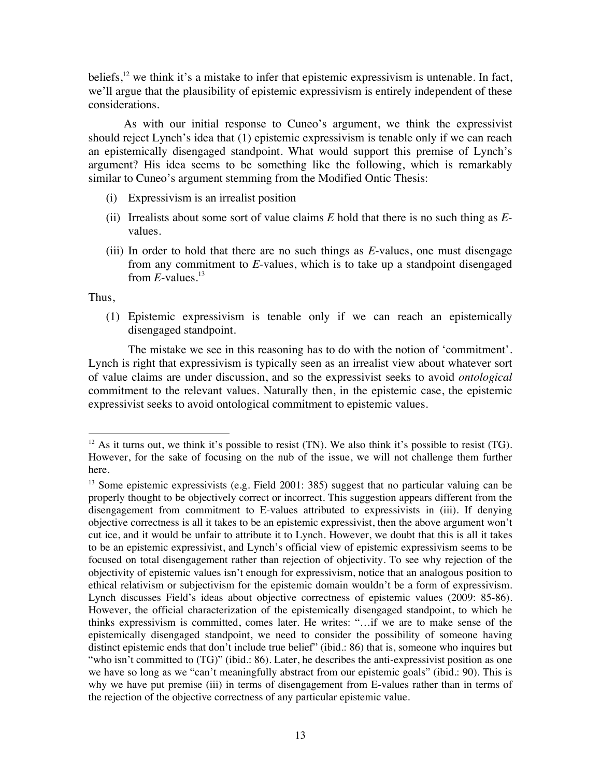beliefs,<sup>12</sup> we think it's a mistake to infer that epistemic expressivism is untenable. In fact, we'll argue that the plausibility of epistemic expressivism is entirely independent of these considerations.

As with our initial response to Cuneo's argument, we think the expressivist should reject Lynch's idea that (1) epistemic expressivism is tenable only if we can reach an epistemically disengaged standpoint. What would support this premise of Lynch's argument? His idea seems to be something like the following, which is remarkably similar to Cuneo's argument stemming from the Modified Ontic Thesis:

- (i) Expressivism is an irrealist position
- (ii) Irrealists about some sort of value claims *E* hold that there is no such thing as *E*values.
- (iii) In order to hold that there are no such things as *E*-values, one must disengage from any commitment to *E*-values, which is to take up a standpoint disengaged from  $E$ -values.<sup>13</sup>

Thus,

(1) Epistemic expressivism is tenable only if we can reach an epistemically disengaged standpoint.

The mistake we see in this reasoning has to do with the notion of 'commitment'. Lynch is right that expressivism is typically seen as an irrealist view about whatever sort of value claims are under discussion, and so the expressivist seeks to avoid *ontological* commitment to the relevant values. Naturally then, in the epistemic case, the epistemic expressivist seeks to avoid ontological commitment to epistemic values.

 $12$  As it turns out, we think it's possible to resist (TN). We also think it's possible to resist (TG). However, for the sake of focusing on the nub of the issue, we will not challenge them further here.

 $13$  Some epistemic expressivists (e.g. Field 2001: 385) suggest that no particular valuing can be properly thought to be objectively correct or incorrect. This suggestion appears different from the disengagement from commitment to E-values attributed to expressivists in (iii). If denying objective correctness is all it takes to be an epistemic expressivist, then the above argument won't cut ice, and it would be unfair to attribute it to Lynch. However, we doubt that this is all it takes to be an epistemic expressivist, and Lynch's official view of epistemic expressivism seems to be focused on total disengagement rather than rejection of objectivity. To see why rejection of the objectivity of epistemic values isn't enough for expressivism, notice that an analogous position to ethical relativism or subjectivism for the epistemic domain wouldn't be a form of expressivism. Lynch discusses Field's ideas about objective correctness of epistemic values (2009: 85-86). However, the official characterization of the epistemically disengaged standpoint, to which he thinks expressivism is committed, comes later. He writes: "…if we are to make sense of the epistemically disengaged standpoint, we need to consider the possibility of someone having distinct epistemic ends that don't include true belief" (ibid.: 86) that is, someone who inquires but "who isn't committed to (TG)" (ibid.: 86). Later, he describes the anti-expressivist position as one we have so long as we "can't meaningfully abstract from our epistemic goals" (ibid.: 90). This is why we have put premise (iii) in terms of disengagement from E-values rather than in terms of the rejection of the objective correctness of any particular epistemic value.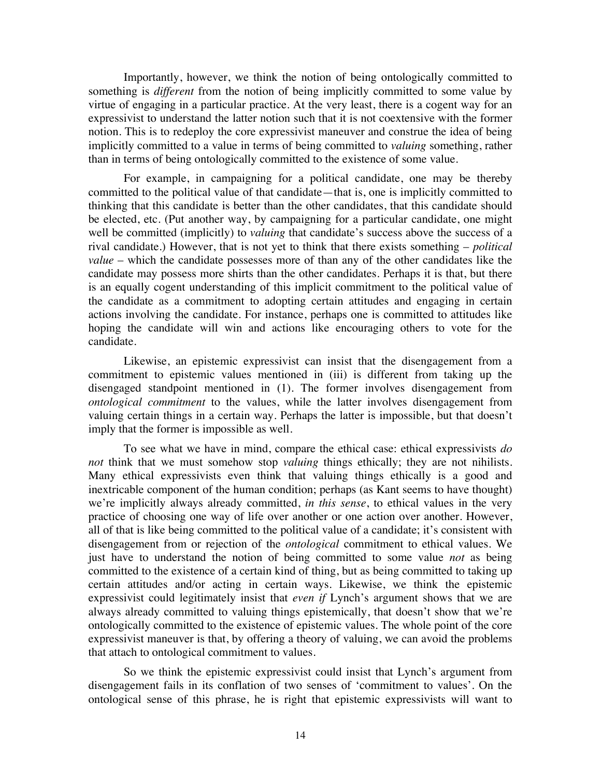Importantly, however, we think the notion of being ontologically committed to something is *different* from the notion of being implicitly committed to some value by virtue of engaging in a particular practice. At the very least, there is a cogent way for an expressivist to understand the latter notion such that it is not coextensive with the former notion. This is to redeploy the core expressivist maneuver and construe the idea of being implicitly committed to a value in terms of being committed to *valuing* something, rather than in terms of being ontologically committed to the existence of some value.

For example, in campaigning for a political candidate, one may be thereby committed to the political value of that candidate—that is, one is implicitly committed to thinking that this candidate is better than the other candidates, that this candidate should be elected, etc. (Put another way, by campaigning for a particular candidate, one might well be committed (implicitly) to *valuing* that candidate's success above the success of a rival candidate.) However, that is not yet to think that there exists something – *political value* – which the candidate possesses more of than any of the other candidates like the candidate may possess more shirts than the other candidates. Perhaps it is that, but there is an equally cogent understanding of this implicit commitment to the political value of the candidate as a commitment to adopting certain attitudes and engaging in certain actions involving the candidate. For instance, perhaps one is committed to attitudes like hoping the candidate will win and actions like encouraging others to vote for the candidate.

Likewise, an epistemic expressivist can insist that the disengagement from a commitment to epistemic values mentioned in (iii) is different from taking up the disengaged standpoint mentioned in (1). The former involves disengagement from *ontological commitment* to the values, while the latter involves disengagement from valuing certain things in a certain way. Perhaps the latter is impossible, but that doesn't imply that the former is impossible as well.

To see what we have in mind, compare the ethical case: ethical expressivists *do not* think that we must somehow stop *valuing* things ethically; they are not nihilists. Many ethical expressivists even think that valuing things ethically is a good and inextricable component of the human condition; perhaps (as Kant seems to have thought) we're implicitly always already committed, *in this sense*, to ethical values in the very practice of choosing one way of life over another or one action over another. However, all of that is like being committed to the political value of a candidate; it's consistent with disengagement from or rejection of the *ontological* commitment to ethical values. We just have to understand the notion of being committed to some value *not* as being committed to the existence of a certain kind of thing, but as being committed to taking up certain attitudes and/or acting in certain ways. Likewise, we think the epistemic expressivist could legitimately insist that *even if* Lynch's argument shows that we are always already committed to valuing things epistemically, that doesn't show that we're ontologically committed to the existence of epistemic values. The whole point of the core expressivist maneuver is that, by offering a theory of valuing, we can avoid the problems that attach to ontological commitment to values.

So we think the epistemic expressivist could insist that Lynch's argument from disengagement fails in its conflation of two senses of 'commitment to values'. On the ontological sense of this phrase, he is right that epistemic expressivists will want to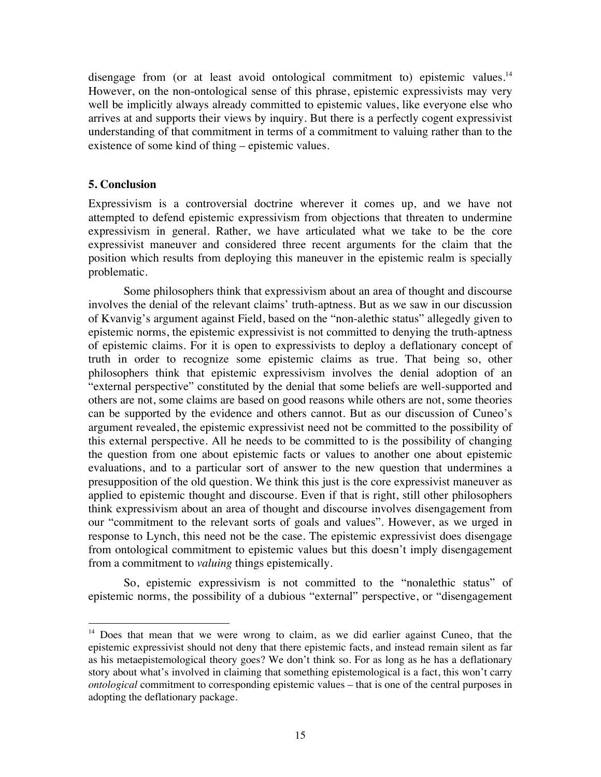disengage from (or at least avoid ontological commitment to) epistemic values.<sup>14</sup> However, on the non-ontological sense of this phrase, epistemic expressivists may very well be implicitly always already committed to epistemic values, like everyone else who arrives at and supports their views by inquiry. But there is a perfectly cogent expressivist understanding of that commitment in terms of a commitment to valuing rather than to the existence of some kind of thing – epistemic values.

# **5. Conclusion**

Expressivism is a controversial doctrine wherever it comes up, and we have not attempted to defend epistemic expressivism from objections that threaten to undermine expressivism in general. Rather, we have articulated what we take to be the core expressivist maneuver and considered three recent arguments for the claim that the position which results from deploying this maneuver in the epistemic realm is specially problematic.

Some philosophers think that expressivism about an area of thought and discourse involves the denial of the relevant claims' truth-aptness. But as we saw in our discussion of Kvanvig's argument against Field, based on the "non-alethic status" allegedly given to epistemic norms, the epistemic expressivist is not committed to denying the truth-aptness of epistemic claims. For it is open to expressivists to deploy a deflationary concept of truth in order to recognize some epistemic claims as true. That being so, other philosophers think that epistemic expressivism involves the denial adoption of an "external perspective" constituted by the denial that some beliefs are well-supported and others are not, some claims are based on good reasons while others are not, some theories can be supported by the evidence and others cannot. But as our discussion of Cuneo's argument revealed, the epistemic expressivist need not be committed to the possibility of this external perspective. All he needs to be committed to is the possibility of changing the question from one about epistemic facts or values to another one about epistemic evaluations, and to a particular sort of answer to the new question that undermines a presupposition of the old question. We think this just is the core expressivist maneuver as applied to epistemic thought and discourse. Even if that is right, still other philosophers think expressivism about an area of thought and discourse involves disengagement from our "commitment to the relevant sorts of goals and values". However, as we urged in response to Lynch, this need not be the case. The epistemic expressivist does disengage from ontological commitment to epistemic values but this doesn't imply disengagement from a commitment to *valuing* things epistemically.

So, epistemic expressivism is not committed to the "nonalethic status" of epistemic norms, the possibility of a dubious "external" perspective, or "disengagement

<sup>&</sup>lt;sup>14</sup> Does that mean that we were wrong to claim, as we did earlier against Cuneo, that the epistemic expressivist should not deny that there epistemic facts, and instead remain silent as far as his metaepistemological theory goes? We don't think so. For as long as he has a deflationary story about what's involved in claiming that something epistemological is a fact, this won't carry *ontological* commitment to corresponding epistemic values – that is one of the central purposes in adopting the deflationary package.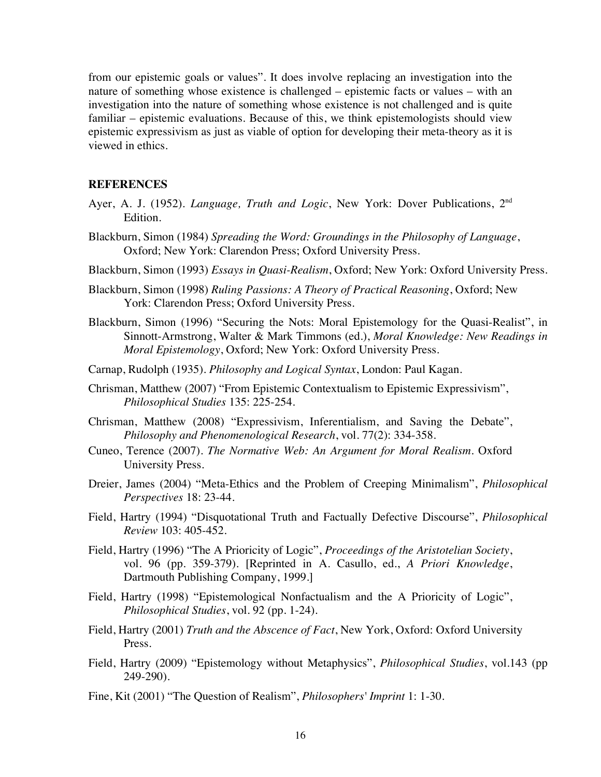from our epistemic goals or values". It does involve replacing an investigation into the nature of something whose existence is challenged – epistemic facts or values – with an investigation into the nature of something whose existence is not challenged and is quite familiar – epistemic evaluations. Because of this, we think epistemologists should view epistemic expressivism as just as viable of option for developing their meta-theory as it is viewed in ethics.

# **REFERENCES**

- Ayer, A. J. (1952). *Language, Truth and Logic*, New York: Dover Publications, 2nd Edition.
- Blackburn, Simon (1984) *Spreading the Word: Groundings in the Philosophy of Language*, Oxford; New York: Clarendon Press; Oxford University Press.
- Blackburn, Simon (1993) *Essays in Quasi-Realism*, Oxford; New York: Oxford University Press.
- Blackburn, Simon (1998) *Ruling Passions: A Theory of Practical Reasoning*, Oxford; New York: Clarendon Press; Oxford University Press.
- Blackburn, Simon (1996) "Securing the Nots: Moral Epistemology for the Quasi-Realist", in Sinnott-Armstrong, Walter & Mark Timmons (ed.), *Moral Knowledge: New Readings in Moral Epistemology*, Oxford; New York: Oxford University Press.
- Carnap, Rudolph (1935). *Philosophy and Logical Syntax*, London: Paul Kagan.
- Chrisman, Matthew (2007) "From Epistemic Contextualism to Epistemic Expressivism", *Philosophical Studies* 135: 225-254.
- Chrisman, Matthew (2008) "Expressivism, Inferentialism, and Saving the Debate", *Philosophy and Phenomenological Research*, vol. 77(2): 334-358.
- Cuneo, Terence (2007). *The Normative Web: An Argument for Moral Realism.* Oxford University Press.
- Dreier, James (2004) "Meta-Ethics and the Problem of Creeping Minimalism", *Philosophical Perspectives* 18: 23-44.
- Field, Hartry (1994) "Disquotational Truth and Factually Defective Discourse", *Philosophical Review* 103: 405-452.
- Field, Hartry (1996) "The A Prioricity of Logic", *Proceedings of the Aristotelian Society*, vol. 96 (pp. 359-379). [Reprinted in A. Casullo, ed., *A Priori Knowledge*, Dartmouth Publishing Company, 1999.]
- Field, Hartry (1998) "Epistemological Nonfactualism and the A Prioricity of Logic", *Philosophical Studies*, vol. 92 (pp. 1-24).
- Field, Hartry (2001) *Truth and the Abscence of Fact*, New York, Oxford: Oxford University Press.
- Field, Hartry (2009) "Epistemology without Metaphysics", *Philosophical Studies*, vol.143 (pp 249-290).
- Fine, Kit (2001) "The Question of Realism", *Philosophers' Imprint* 1: 1-30.